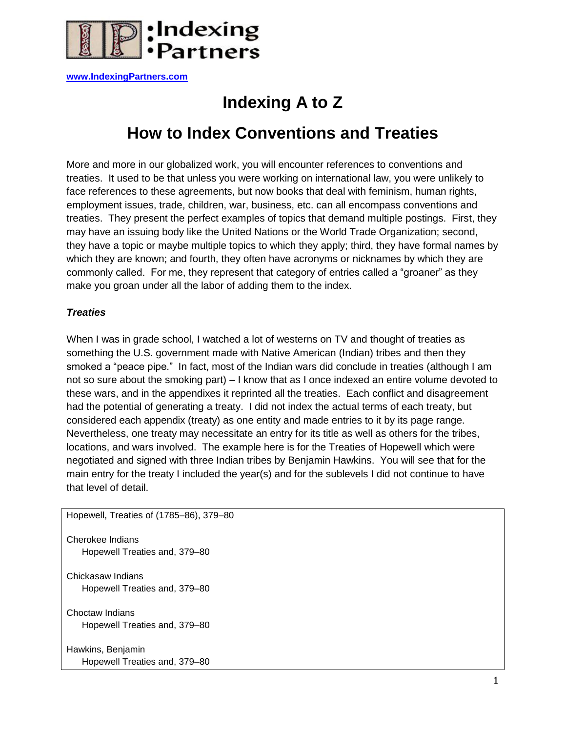

**[www.IndexingPartners.com](http://www.indexingpartners.com/)**

# **Indexing A to Z**

## **How to Index Conventions and Treaties**

More and more in our globalized work, you will encounter references to conventions and treaties. It used to be that unless you were working on international law, you were unlikely to face references to these agreements, but now books that deal with feminism, human rights, employment issues, trade, children, war, business, etc. can all encompass conventions and treaties. They present the perfect examples of topics that demand multiple postings. First, they may have an issuing body like the United Nations or the World Trade Organization; second, they have a topic or maybe multiple topics to which they apply; third, they have formal names by which they are known; and fourth, they often have acronyms or nicknames by which they are commonly called. For me, they represent that category of entries called a "groaner" as they make you groan under all the labor of adding them to the index.

## *Treaties*

When I was in grade school, I watched a lot of westerns on TV and thought of treaties as something the U.S. government made with Native American (Indian) tribes and then they smoked a "peace pipe." In fact, most of the Indian wars did conclude in treaties (although I am not so sure about the smoking part) – I know that as I once indexed an entire volume devoted to these wars, and in the appendixes it reprinted all the treaties. Each conflict and disagreement had the potential of generating a treaty. I did not index the actual terms of each treaty, but considered each appendix (treaty) as one entity and made entries to it by its page range. Nevertheless, one treaty may necessitate an entry for its title as well as others for the tribes, locations, and wars involved. The example here is for the Treaties of Hopewell which were negotiated and signed with three Indian tribes by Benjamin Hawkins. You will see that for the main entry for the treaty I included the year(s) and for the sublevels I did not continue to have that level of detail.

Hopewell, Treaties of (1785–86), 379–80 Cherokee Indians Hopewell Treaties and, 379–80 Chickasaw Indians Hopewell Treaties and, 379–80 Choctaw Indians Hopewell Treaties and, 379–80 Hawkins, Benjamin Hopewell Treaties and, 379–80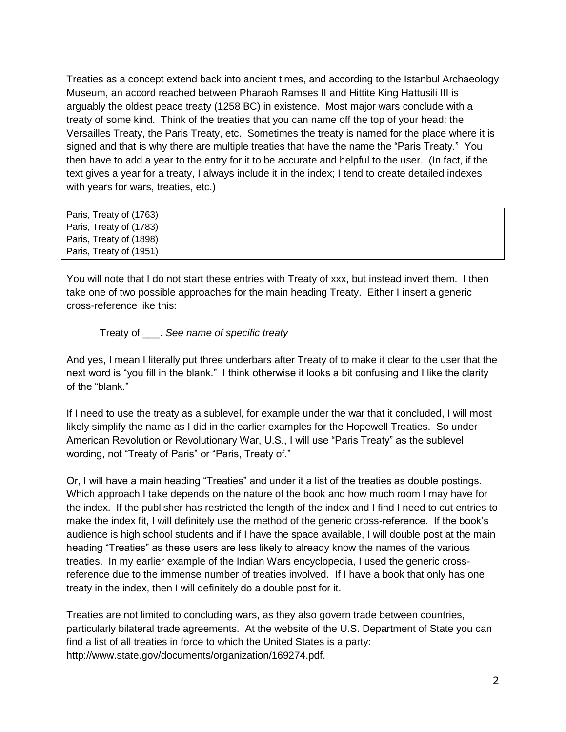Treaties as a concept extend back into ancient times, and according to the Istanbul Archaeology Museum, an accord reached between Pharaoh Ramses II and Hittite King Hattusili III is arguably the oldest peace treaty (1258 BC) in existence. Most major wars conclude with a treaty of some kind. Think of the treaties that you can name off the top of your head: the Versailles Treaty, the Paris Treaty, etc. Sometimes the treaty is named for the place where it is signed and that is why there are multiple treaties that have the name the "Paris Treaty." You then have to add a year to the entry for it to be accurate and helpful to the user. (In fact, if the text gives a year for a treaty, I always include it in the index; I tend to create detailed indexes with years for wars, treaties, etc.)

| Paris, Treaty of (1763) |  |  |
|-------------------------|--|--|
| Paris, Treaty of (1783) |  |  |
| Paris, Treaty of (1898) |  |  |
| Paris, Treaty of (1951) |  |  |
|                         |  |  |

You will note that I do not start these entries with Treaty of xxx, but instead invert them. I then take one of two possible approaches for the main heading Treaty. Either I insert a generic cross-reference like this:

Treaty of \_\_\_. *See name of specific treaty*

And yes, I mean I literally put three underbars after Treaty of to make it clear to the user that the next word is "you fill in the blank." I think otherwise it looks a bit confusing and I like the clarity of the "blank."

If I need to use the treaty as a sublevel, for example under the war that it concluded, I will most likely simplify the name as I did in the earlier examples for the Hopewell Treaties. So under American Revolution or Revolutionary War, U.S., I will use "Paris Treaty" as the sublevel wording, not "Treaty of Paris" or "Paris, Treaty of."

Or, I will have a main heading "Treaties" and under it a list of the treaties as double postings. Which approach I take depends on the nature of the book and how much room I may have for the index. If the publisher has restricted the length of the index and I find I need to cut entries to make the index fit, I will definitely use the method of the generic cross-reference. If the book's audience is high school students and if I have the space available, I will double post at the main heading "Treaties" as these users are less likely to already know the names of the various treaties. In my earlier example of the Indian Wars encyclopedia, I used the generic crossreference due to the immense number of treaties involved. If I have a book that only has one treaty in the index, then I will definitely do a double post for it.

Treaties are not limited to concluding wars, as they also govern trade between countries, particularly bilateral trade agreements. At the website of the U.S. Department of State you can find a list of all treaties in force to which the United States is a party: http://www.state.gov/documents/organization/169274.pdf.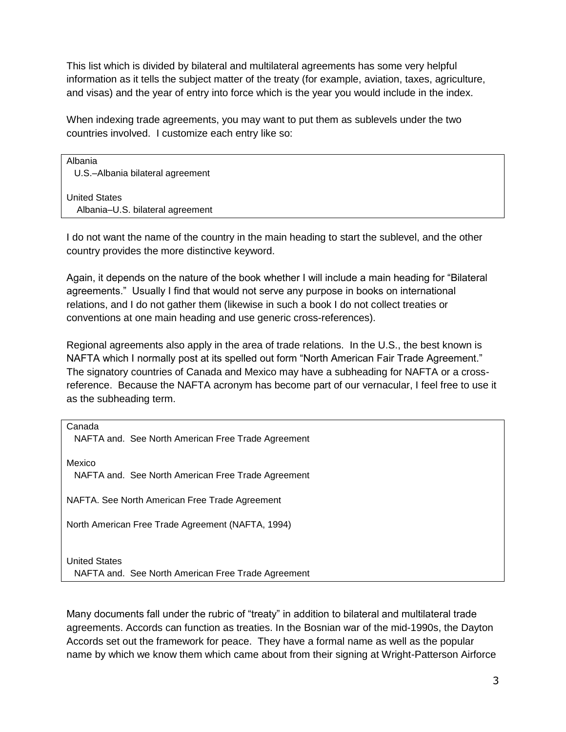This list which is divided by bilateral and multilateral agreements has some very helpful information as it tells the subject matter of the treaty (for example, aviation, taxes, agriculture, and visas) and the year of entry into force which is the year you would include in the index.

When indexing trade agreements, you may want to put them as sublevels under the two countries involved. I customize each entry like so:

Albania U.S.–Albania bilateral agreement

United States Albania–U.S. bilateral agreement

I do not want the name of the country in the main heading to start the sublevel, and the other country provides the more distinctive keyword.

Again, it depends on the nature of the book whether I will include a main heading for "Bilateral agreements." Usually I find that would not serve any purpose in books on international relations, and I do not gather them (likewise in such a book I do not collect treaties or conventions at one main heading and use generic cross-references).

Regional agreements also apply in the area of trade relations. In the U.S., the best known is NAFTA which I normally post at its spelled out form "North American Fair Trade Agreement." The signatory countries of Canada and Mexico may have a subheading for NAFTA or a crossreference. Because the NAFTA acronym has become part of our vernacular, I feel free to use it as the subheading term.

Canada NAFTA and. See North American Free Trade Agreement Mexico NAFTA and. See North American Free Trade Agreement NAFTA. See North American Free Trade Agreement North American Free Trade Agreement (NAFTA, 1994) United States NAFTA and. See North American Free Trade Agreement

Many documents fall under the rubric of "treaty" in addition to bilateral and multilateral trade agreements. Accords can function as treaties. In the Bosnian war of the mid-1990s, the Dayton Accords set out the framework for peace. They have a formal name as well as the popular name by which we know them which came about from their signing at Wright-Patterson Airforce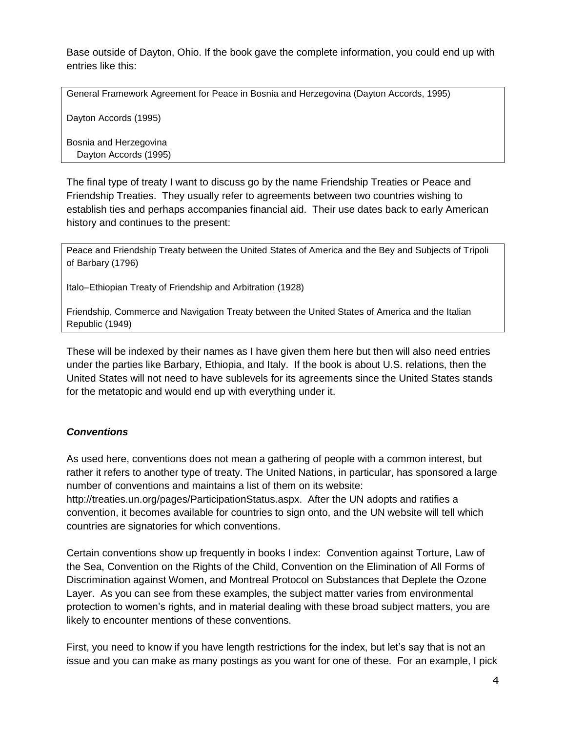Base outside of Dayton, Ohio. If the book gave the complete information, you could end up with entries like this:

General Framework Agreement for Peace in Bosnia and Herzegovina (Dayton Accords, 1995)

Dayton Accords (1995)

Bosnia and Herzegovina Dayton Accords (1995)

The final type of treaty I want to discuss go by the name Friendship Treaties or Peace and Friendship Treaties. They usually refer to agreements between two countries wishing to establish ties and perhaps accompanies financial aid. Their use dates back to early American history and continues to the present:

Peace and Friendship Treaty between the United States of America and the Bey and Subjects of Tripoli of Barbary (1796)

Italo–Ethiopian Treaty of Friendship and Arbitration (1928)

Friendship, Commerce and Navigation Treaty between the United States of America and the Italian Republic (1949)

These will be indexed by their names as I have given them here but then will also need entries under the parties like Barbary, Ethiopia, and Italy. If the book is about U.S. relations, then the United States will not need to have sublevels for its agreements since the United States stands for the metatopic and would end up with everything under it.

### *Conventions*

As used here, conventions does not mean a gathering of people with a common interest, but rather it refers to another type of treaty. The United Nations, in particular, has sponsored a large number of conventions and maintains a list of them on its website:

http://treaties.un.org/pages/ParticipationStatus.aspx. After the UN adopts and ratifies a convention, it becomes available for countries to sign onto, and the UN website will tell which countries are signatories for which conventions.

Certain conventions show up frequently in books I index: Convention against Torture, Law of the Sea, Convention on the Rights of the Child, Convention on the Elimination of All Forms of Discrimination against Women, and Montreal Protocol on Substances that Deplete the Ozone Layer. As you can see from these examples, the subject matter varies from environmental protection to women's rights, and in material dealing with these broad subject matters, you are likely to encounter mentions of these conventions.

First, you need to know if you have length restrictions for the index, but let's say that is not an issue and you can make as many postings as you want for one of these. For an example, I pick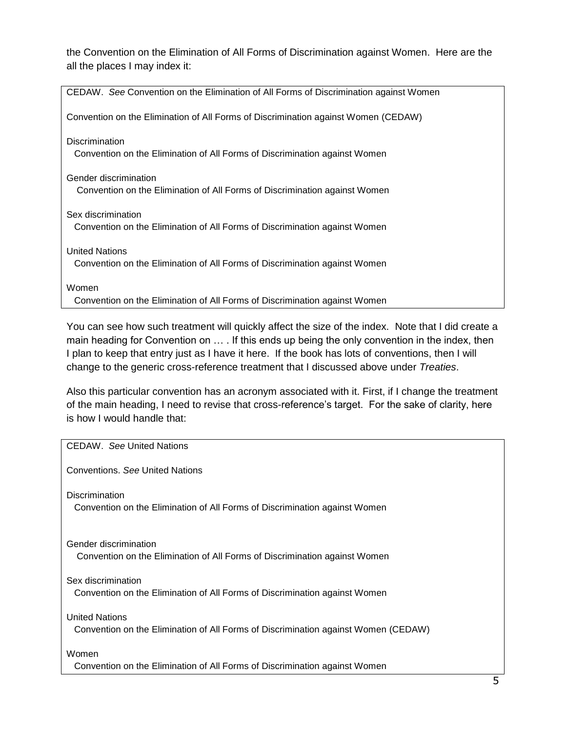the Convention on the Elimination of All Forms of Discrimination against Women. Here are the all the places I may index it:

| CEDAW. See Convention on the Elimination of All Forms of Discrimination against Women |
|---------------------------------------------------------------------------------------|
| Convention on the Elimination of All Forms of Discrimination against Women (CEDAW)    |
| <b>Discrimination</b>                                                                 |
|                                                                                       |
| Convention on the Elimination of All Forms of Discrimination against Women            |
| Gender discrimination                                                                 |
|                                                                                       |
| Convention on the Elimination of All Forms of Discrimination against Women            |
|                                                                                       |
| Sex discrimination                                                                    |
| Convention on the Elimination of All Forms of Discrimination against Women            |
|                                                                                       |
| <b>United Nations</b>                                                                 |
| Convention on the Elimination of All Forms of Discrimination against Women            |
|                                                                                       |
| Women                                                                                 |
| Convention on the Elimination of All Forms of Discrimination against Women            |

You can see how such treatment will quickly affect the size of the index. Note that I did create a main heading for Convention on … . If this ends up being the only convention in the index, then I plan to keep that entry just as I have it here. If the book has lots of conventions, then I will change to the generic cross-reference treatment that I discussed above under *Treaties*.

Also this particular convention has an acronym associated with it. First, if I change the treatment of the main heading, I need to revise that cross-reference's target. For the sake of clarity, here is how I would handle that:

| CEDAW. See United Nations                                                                                   |
|-------------------------------------------------------------------------------------------------------------|
| Conventions. See United Nations                                                                             |
| Discrimination<br>Convention on the Elimination of All Forms of Discrimination against Women                |
| Gender discrimination<br>Convention on the Elimination of All Forms of Discrimination against Women         |
| Sex discrimination<br>Convention on the Elimination of All Forms of Discrimination against Women            |
| <b>United Nations</b><br>Convention on the Elimination of All Forms of Discrimination against Women (CEDAW) |
| Women<br>Convention on the Elimination of All Forms of Discrimination against Women                         |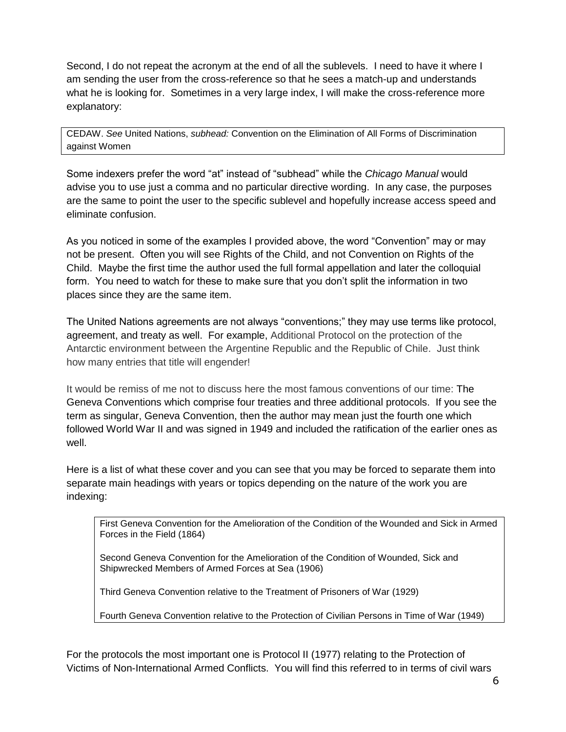Second, I do not repeat the acronym at the end of all the sublevels. I need to have it where I am sending the user from the cross-reference so that he sees a match-up and understands what he is looking for. Sometimes in a very large index, I will make the cross-reference more explanatory:

CEDAW. *See* United Nations, *subhead:* Convention on the Elimination of All Forms of Discrimination against Women

Some indexers prefer the word "at" instead of "subhead" while the *Chicago Manual* would advise you to use just a comma and no particular directive wording. In any case, the purposes are the same to point the user to the specific sublevel and hopefully increase access speed and eliminate confusion.

As you noticed in some of the examples I provided above, the word "Convention" may or may not be present. Often you will see Rights of the Child, and not Convention on Rights of the Child. Maybe the first time the author used the full formal appellation and later the colloquial form. You need to watch for these to make sure that you don't split the information in two places since they are the same item.

The United Nations agreements are not always "conventions;" they may use terms like protocol, agreement, and treaty as well. For example, Additional Protocol on the protection of the Antarctic environment between the Argentine Republic and the Republic of Chile. Just think how many entries that title will engender!

It would be remiss of me not to discuss here the most famous conventions of our time: The Geneva Conventions which comprise four treaties and three additional protocols. If you see the term as singular, Geneva Convention, then the author may mean just the fourth one which followed World War II and was signed in 1949 and included the ratification of the earlier ones as well.

Here is a list of what these cover and you can see that you may be forced to separate them into separate main headings with years or topics depending on the nature of the work you are indexing:

First Geneva Convention for the Amelioration of the Condition of the Wounded and Sick in Armed Forces in the Field (1864)

Second Geneva Convention for the Amelioration of the Condition of Wounded, Sick and Shipwrecked Members of Armed Forces at Sea (1906)

Third Geneva Convention relative to the Treatment of Prisoners of War (1929)

Fourth Geneva Convention relative to the Protection of Civilian Persons in Time of War (1949)

For the protocols the most important one is Protocol II (1977) relating to the Protection of Victims of Non-International Armed Conflicts. You will find this referred to in terms of civil wars